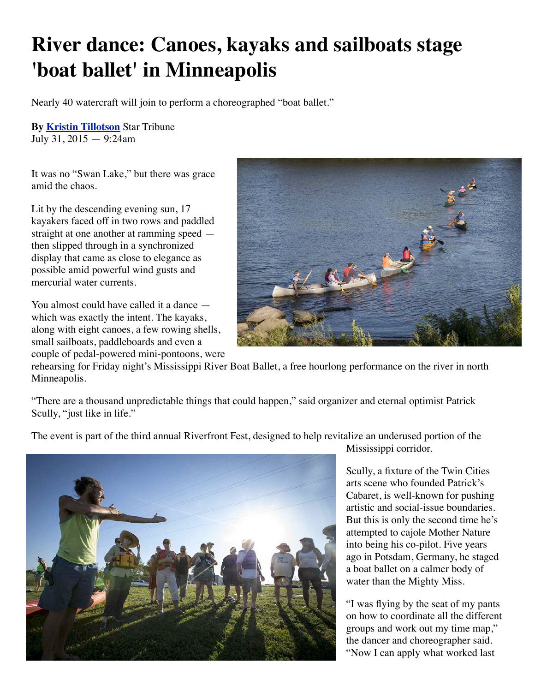## **River dance: Canoes, kayaks and sailboats stage 'boat ballet' in Minneapolis**

Nearly 40 watercraft will join to perform a choreographed "boat ballet."

**By [Kristin Tillotson](http://www.startribune.com/kristin-tillotson/10646121/)** Star Tribune July 31, 2015 — 9:24am

It was no "Swan Lake," but there was grace amid the chaos.

Lit by the descending evening sun, 17 kayakers faced off in two rows and paddled straight at one another at ramming speed then slipped through in a synchronized display that came as close to elegance as possible amid powerful wind gusts and mercurial water currents.

You almost could have called it a dance which was exactly the intent. The kayaks, along with eight canoes, a few rowing shells, small sailboats, paddleboards and even a couple of pedal-powered mini-pontoons, were



rehearsing for Friday night's Mississippi River Boat Ballet, a free hourlong performance on the river in north Minneapolis.

"There are a thousand unpredictable things that could happen," said organizer and eternal optimist Patrick Scully, "just like in life."

The event is part of the third annual Riverfront Fest, designed to help revitalize an underused portion of the



Mississippi corridor.

Scully, a fixture of the Twin Cities arts scene who founded Patrick's Cabaret, is well-known for pushing artistic and social-issue boundaries. But this is only the second time he's attempted to cajole Mother Nature into being his co-pilot. Five years ago in Potsdam, Germany, he staged a boat ballet on a calmer body of water than the Mighty Miss.

"I was flying by the seat of my pants on how to coordinate all the different groups and work out my time map," the dancer and choreographer said. "Now I can apply what worked last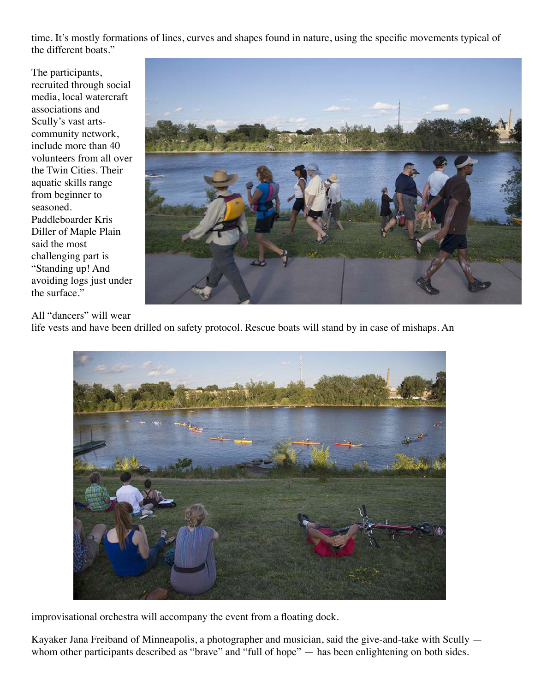time. It's mostly formations of lines, curves and shapes found in nature, using the specific movements typical of the different boats."

The participants, recruited through social media, local watercraft associations and Scully's vast artscommunity network, include more than 40 volunteers from all over the Twin Cities. Their aquatic skills range from beginner to seasoned. Paddleboarder Kris Diller of Maple Plain said the most challenging part is "Standing up! And avoiding logs just under the surface."



All "dancers" will wear

life vests and have been drilled on safety protocol. Rescue boats will stand by in case of mishaps. An



improvisational orchestra will accompany the event from a floating dock.

Kayaker Jana Freiband of Minneapolis, a photographer and musician, said the give-and-take with Scully whom other participants described as "brave" and "full of hope" — has been enlightening on both sides.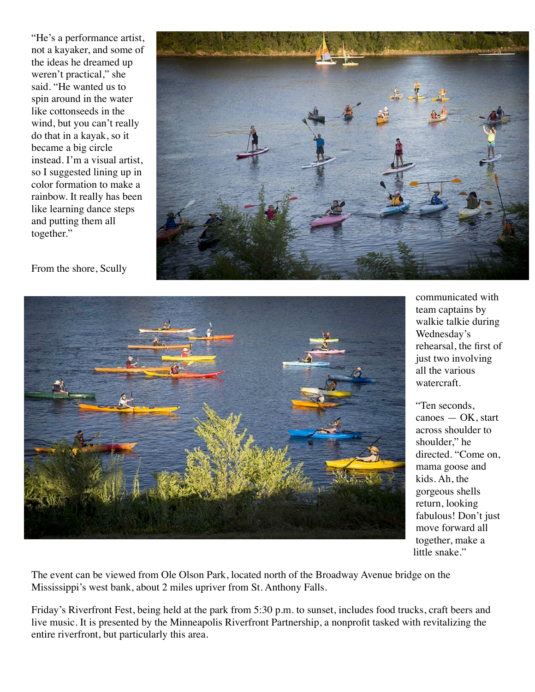"He's a performance artist, not a kayaker, and some of the ideas he dreamed up weren't practical," she said. "He wanted us to spin around in the water like cottonseeds in the wind, but you can't really do that in a kayak, so it became a big circle instead. I'm a visual artist, so I suggested lining up in color formation to make a rainbow. It really has been like learning dance steps and putting them all together."



From the shore, Scully



communicated with team captains by walkie talkie during Wednesday's rehearsal, the first of just two involving all the various watercraft.

"Ten seconds, canoes — OK, start across shoulder to shoulder," he directed. "Come on, mama goose and kids. Ah, the gorgeous shells return, looking fabulous! Don't just move forward all together, make a little snake."

The event can be viewed from Ole Olson Park, located north of the Broadway Avenue bridge on the Mississippi's west bank, about 2 miles upriver from St. Anthony Falls.

Friday's Riverfront Fest, being held at the park from 5:30 p.m. to sunset, includes food trucks, craft beers and live music. It is presented by the Minneapolis Riverfront Partnership, a nonprofit tasked with revitalizing the entire riverfront, but particularly this area.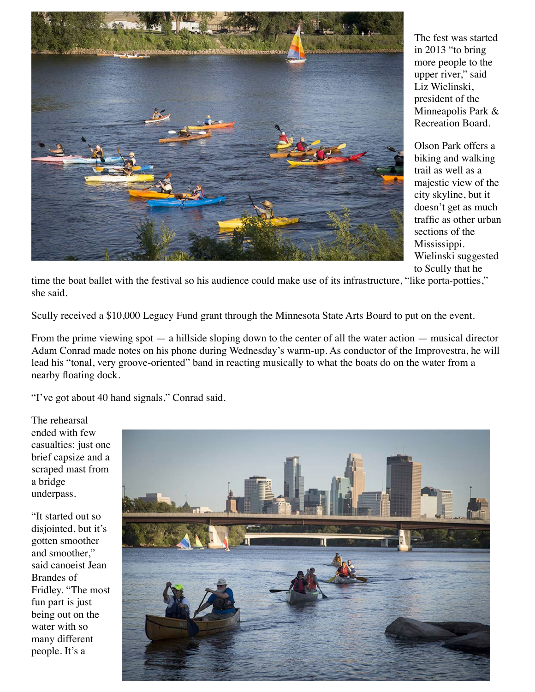

The fest was started in 2013 "to bring more people to the upper river," said Liz Wielinski, president of the Minneapolis Park & Recreation Board.

Olson Park offers a biking and walking trail as well as a majestic view of the city skyline, but it doesn't get as much traffic as other urban sections of the Mississippi. Wielinski suggested to Scully that he

time the boat ballet with the festival so his audience could make use of its infrastructure, "like porta-potties," she said.

Scully received a \$10,000 Legacy Fund grant through the Minnesota State Arts Board to put on the event.

From the prime viewing spot — a hillside sloping down to the center of all the water action — musical director Adam Conrad made notes on his phone during Wednesday's warm-up. As conductor of the Improvestra, he will lead his "tonal, very groove-oriented" band in reacting musically to what the boats do on the water from a nearby floating dock.

"I've got about 40 hand signals," Conrad said.

The rehearsal ended with few casualties: just one brief capsize and a scraped mast from a bridge underpass.

"It started out so disjointed, but it's gotten smoother and smoother," said canoeist Jean Brandes of Fridley. "The most fun part is just being out on the water with so many different people. It's a

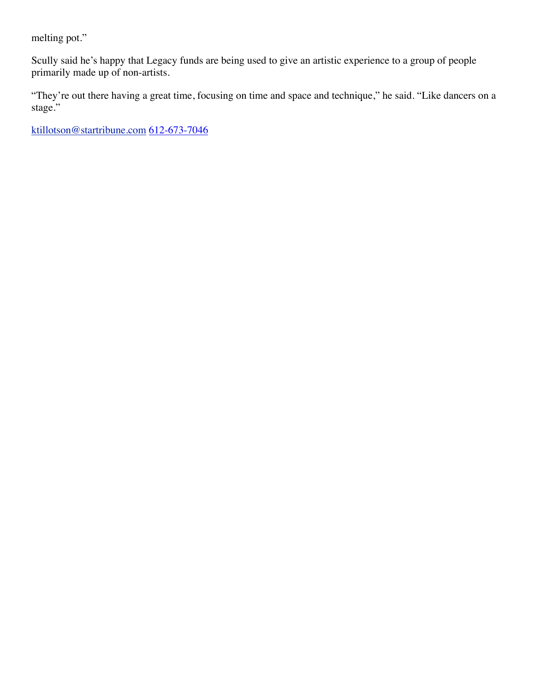melting pot."

Scully said he's happy that Legacy funds are being used to give an artistic experience to a group of people primarily made up of non-artists.

"They're out there having a great time, focusing on time and space and technique," he said. "Like dancers on a stage."

[ktillotson@startribune.com](mailto:ktillotson@startribune.com?subject=Canoes,%20kayaks%20and%20sailboats%20stage%20%27boat%20ballet%27) 612-673-7046